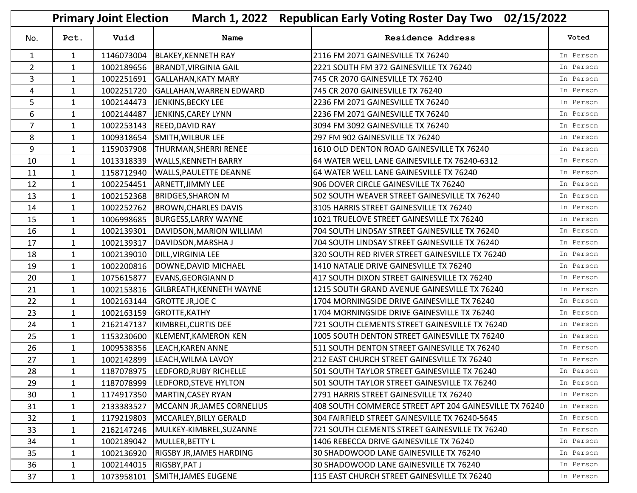|                |              | <b>Primary Joint Election</b> |                                      | March 1, 2022 Republican Early Voting Roster Day Two 02/15/2022 |           |
|----------------|--------------|-------------------------------|--------------------------------------|-----------------------------------------------------------------|-----------|
| No.            | Pct.         | Vuid                          | Name                                 | <b>Residence Address</b>                                        | Voted     |
| 1              | $\mathbf{1}$ | 1146073004                    | BLAKEY, KENNETH RAY                  | 2116 FM 2071 GAINESVILLE TX 76240                               | In Person |
| $\overline{2}$ | $\mathbf{1}$ | 1002189656                    | BRANDT, VIRGINIA GAIL                | 2221 SOUTH FM 372 GAINESVILLE TX 76240                          | In Person |
| 3              | $\mathbf{1}$ | 1002251691                    | <b>GALLAHAN, KATY MARY</b>           | 745 CR 2070 GAINESVILLE TX 76240                                | In Person |
| 4              | $\mathbf{1}$ | 1002251720                    | GALLAHAN, WARREN EDWARD              | 745 CR 2070 GAINESVILLE TX 76240                                | In Person |
| 5              | $\mathbf{1}$ | 1002144473                    | JENKINS, BECKY LEE                   | 2236 FM 2071 GAINESVILLE TX 76240                               | In Person |
| 6              | $\mathbf{1}$ | 1002144487                    | JENKINS, CAREY LYNN                  | 2236 FM 2071 GAINESVILLE TX 76240                               | In Person |
| $\overline{7}$ | $\mathbf{1}$ | 1002253143                    | <b>REED, DAVID RAY</b>               | 3094 FM 3092 GAINESVILLE TX 76240                               | In Person |
| 8              | $\mathbf{1}$ | 1009318654                    | SMITH, WILBUR LEE                    | 297 FM 902 GAINESVILLE TX 76240                                 | In Person |
| 9              | $\mathbf{1}$ | 1159037908                    | THURMAN, SHERRI RENEE                | 1610 OLD DENTON ROAD GAINESVILLE TX 76240                       | In Person |
| 10             | $\mathbf{1}$ | 1013318339                    | <b>WALLS, KENNETH BARRY</b>          | 64 WATER WELL LANE GAINESVILLE TX 76240-6312                    | In Person |
| 11             | $\mathbf{1}$ | 1158712940                    | <b>WALLS, PAULETTE DEANNE</b>        | 64 WATER WELL LANE GAINESVILLE TX 76240                         | In Person |
| 12             | $\mathbf{1}$ | 1002254451                    | ARNETT, JIMMY LEE                    | 906 DOVER CIRCLE GAINESVILLE TX 76240                           | In Person |
| 13             | $\mathbf{1}$ | 1002152368                    | <b>BRIDGES, SHARON M</b>             | 502 SOUTH WEAVER STREET GAINESVILLE TX 76240                    | In Person |
| 14             | $\mathbf{1}$ | 1002252762                    | <b>BROWN, CHARLES DAVIS</b>          | 3105 HARRIS STREET GAINESVILLE TX 76240                         | In Person |
| 15             | $\mathbf{1}$ | 1006998685                    | <b>BURGESS, LARRY WAYNE</b>          | 1021 TRUELOVE STREET GAINESVILLE TX 76240                       | In Person |
| 16             | $\mathbf{1}$ | 1002139301                    | DAVIDSON, MARION WILLIAM             | 704 SOUTH LINDSAY STREET GAINESVILLE TX 76240                   | In Person |
| 17             | $\mathbf{1}$ | 1002139317                    | DAVIDSON, MARSHA J                   | 704 SOUTH LINDSAY STREET GAINESVILLE TX 76240                   | In Person |
| 18             | $\mathbf{1}$ | 1002139010                    | <b>DILL, VIRGINIA LEE</b>            | 320 SOUTH RED RIVER STREET GAINESVILLE TX 76240                 | In Person |
| 19             | $\mathbf{1}$ | 1002200816                    | DOWNE, DAVID MICHAEL                 | 1410 NATALIE DRIVE GAINESVILLE TX 76240                         | In Person |
| 20             | $\mathbf{1}$ | 1075615877                    | <b>EVANS, GEORGIANN D</b>            | 417 SOUTH DIXON STREET GAINESVILLE TX 76240                     | In Person |
| 21             | $\mathbf{1}$ | 1002153816                    | <b>GILBREATH, KENNETH WAYNE</b>      | 1215 SOUTH GRAND AVENUE GAINESVILLE TX 76240                    | In Person |
| 22             | $\mathbf{1}$ | 1002163144                    | <b>GROTTE JR, JOE C</b>              | 1704 MORNINGSIDE DRIVE GAINESVILLE TX 76240                     | In Person |
| 23             | $\mathbf{1}$ | 1002163159                    | GROTTE, KATHY                        | 1704 MORNINGSIDE DRIVE GAINESVILLE TX 76240                     | In Person |
| 24             | $\mathbf{1}$ | 2162147137                    | KIMBREL, CURTIS DEE                  | 721 SOUTH CLEMENTS STREET GAINESVILLE TX 76240                  | In Person |
| 25             | $\mathbf{1}$ | 1153230600                    | KLEMENT, KAMERON KEN                 | 1005 SOUTH DENTON STREET GAINESVILLE TX 76240                   | In Person |
| 26             | $\mathbf{1}$ | 1009538356                    | LEACH, KAREN ANNE                    | 511 SOUTH DENTON STREET GAINESVILLE TX 76240                    | In Person |
| 27             | $\mathbf{1}$ |                               | 1002142899  LEACH, WILMA LAVOY       | 212 EAST CHURCH STREET GAINESVILLE TX 76240                     | In Person |
| 28             | $\mathbf{1}$ |                               | 1187078975  LEDFORD, RUBY RICHELLE   | 501 SOUTH TAYLOR STREET GAINESVILLE TX 76240                    | In Person |
| 29             | $\mathbf{1}$ | 1187078999                    | <b>LEDFORD, STEVE HYLTON</b>         | 501 SOUTH TAYLOR STREET GAINESVILLE TX 76240                    | In Person |
| 30             | $\mathbf{1}$ | 1174917350                    | MARTIN, CASEY RYAN                   | 2791 HARRIS STREET GAINESVILLE TX 76240                         | In Person |
| 31             | $\mathbf{1}$ | 2133383527                    | MCCANN JR, JAMES CORNELIUS           | 408 SOUTH COMMERCE STREET APT 204 GAINESVILLE TX 76240          | In Person |
| 32             | $\mathbf{1}$ | 1179219803                    | MCCARLEY, BILLY GERALD               | 304 FAIRFIELD STREET GAINESVILLE TX 76240-5645                  | In Person |
| 33             | $\mathbf{1}$ |                               | 2162147246   MULKEY-KIMBREL, SUZANNE | 721 SOUTH CLEMENTS STREET GAINESVILLE TX 76240                  | In Person |
| 34             | $\mathbf{1}$ | 1002189042                    | MULLER, BETTY L                      | 1406 REBECCA DRIVE GAINESVILLE TX 76240                         | In Person |
| 35             | $\mathbf{1}$ | 1002136920                    | <b>RIGSBY JR, JAMES HARDING</b>      | 30 SHADOWOOD LANE GAINESVILLE TX 76240                          | In Person |
| 36             | $\mathbf{1}$ | 1002144015                    | <b>RIGSBY, PAT J</b>                 | 30 SHADOWOOD LANE GAINESVILLE TX 76240                          | In Person |
| 37             | $\mathbf{1}$ |                               | 1073958101 SMITH, JAMES EUGENE       | 115 EAST CHURCH STREET GAINESVILLE TX 76240                     | In Person |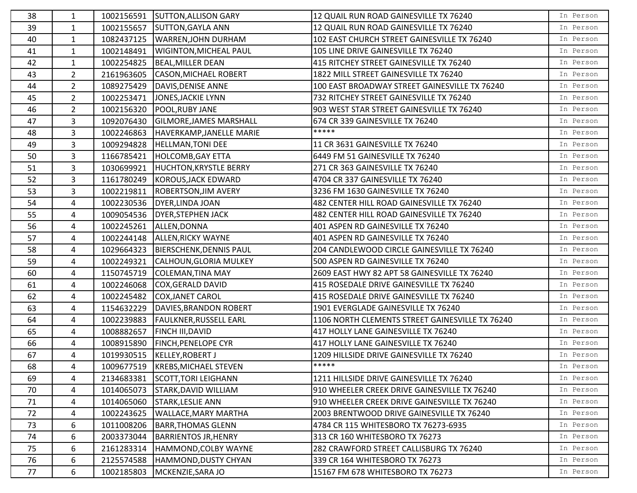| 38 | $\mathbf{1}$   |            | 1002156591 SUTTON, ALLISON GARY      | 12 QUAIL RUN ROAD GAINESVILLE TX 76240          | In Person |
|----|----------------|------------|--------------------------------------|-------------------------------------------------|-----------|
| 39 | $\mathbf{1}$   | 1002155657 | <b>SUTTON, GAYLA ANN</b>             | 12 QUAIL RUN ROAD GAINESVILLE TX 76240          | In Person |
| 40 | $\mathbf{1}$   | 1082437125 | WARREN, JOHN DURHAM                  | 102 EAST CHURCH STREET GAINESVILLE TX 76240     | In Person |
| 41 | $\mathbf{1}$   | 1002148491 | <b>WIGINTON, MICHEAL PAUL</b>        | 105 LINE DRIVE GAINESVILLE TX 76240             | In Person |
| 42 | $\mathbf{1}$   | 1002254825 | BEAL, MILLER DEAN                    | 415 RITCHEY STREET GAINESVILLE TX 76240         | In Person |
| 43 | $\overline{2}$ | 2161963605 | <b>CASON, MICHAEL ROBERT</b>         | 1822 MILL STREET GAINESVILLE TX 76240           | In Person |
| 44 | 2 <sup>7</sup> | 1089275429 | DAVIS, DENISE ANNE                   | 100 EAST BROADWAY STREET GAINESVILLE TX 76240   | In Person |
| 45 | $2^{\circ}$    | 1002253471 | JONES, JACKIE LYNN                   | 732 RITCHEY STREET GAINESVILLE TX 76240         | In Person |
| 46 | $2^{\circ}$    | 1002156320 | POOL, RUBY JANE                      | 903 WEST STAR STREET GAINESVILLE TX 76240       | In Person |
| 47 | 3              | 1092076430 | GILMORE, JAMES MARSHALL              | 674 CR 339 GAINESVILLE TX 76240                 | In Person |
| 48 | 3              | 1002246863 | HAVERKAMP, JANELLE MARIE             | *****                                           | In Person |
| 49 | $\overline{3}$ | 1009294828 | <b>HELLMAN, TONI DEE</b>             | 11 CR 3631 GAINESVILLE TX 76240                 | In Person |
| 50 | 3              | 1166785421 | <b>HOLCOMB, GAY ETTA</b>             | 6449 FM 51 GAINESVILLE TX 76240                 | In Person |
| 51 | 3              | 1030699921 | <b>HUCHTON, KRYSTLE BERRY</b>        | 271 CR 363 GAINESVILLE TX 76240                 | In Person |
| 52 | 3              | 1161780249 | KOROUS, JACK EDWARD                  | 4704 CR 337 GAINESVILLE TX 76240                | In Person |
| 53 | $\mathbf{3}$   | 1002219811 | <b>ROBERTSON, JIM AVERY</b>          | 3236 FM 1630 GAINESVILLE TX 76240               | In Person |
| 54 | 4              | 1002230536 | DYER, LINDA JOAN                     | 482 CENTER HILL ROAD GAINESVILLE TX 76240       | In Person |
| 55 | 4              | 1009054536 | <b>DYER, STEPHEN JACK</b>            | 482 CENTER HILL ROAD GAINESVILLE TX 76240       | In Person |
| 56 | 4              | 1002245261 | ALLEN, DONNA                         | 401 ASPEN RD GAINESVILLE TX 76240               | In Person |
| 57 | 4              | 1002244148 | ALLEN, RICKY WAYNE                   | 401 ASPEN RD GAINESVILLE TX 76240               | In Person |
| 58 | 4              |            | 1029664323   BIERSCHENK, DENNIS PAUL | 204 CANDLEWOOD CIRCLE GAINESVILLE TX 76240      | In Person |
| 59 | 4              | 1002249321 | CALHOUN, GLORIA MULKEY               | 500 ASPEN RD GAINESVILLE TX 76240               | In Person |
| 60 | 4              | 1150745719 | COLEMAN, TINA MAY                    | 2609 EAST HWY 82 APT 58 GAINESVILLE TX 76240    | In Person |
| 61 | 4              |            | 1002246068 COX, GERALD DAVID         | 415 ROSEDALE DRIVE GAINESVILLE TX 76240         | In Person |
| 62 | 4              | 1002245482 | COX, JANET CAROL                     | 415 ROSEDALE DRIVE GAINESVILLE TX 76240         | In Person |
| 63 | $\overline{4}$ | 1154632229 | DAVIES, BRANDON ROBERT               | 1901 EVERGLADE GAINESVILLE TX 76240             | In Person |
| 64 | 4              | 1002239883 | <b>FAULKNER, RUSSELL EARL</b>        | 1106 NORTH CLEMENTS STREET GAINESVILLE TX 76240 | In Person |
| 65 | 4              | 1008882657 | FINCH III, DAVID                     | 417 HOLLY LANE GAINESVILLE TX 76240             | In Person |
| 66 | $\overline{4}$ | 1008915890 | <b>FINCH, PENELOPE CYR</b>           | 417 HOLLY LANE GAINESVILLE TX 76240             | In Person |
| 67 | 4              | 1019930515 | KELLEY, ROBERT J                     | 1209 HILLSIDE DRIVE GAINESVILLE TX 76240        | In Person |
| 68 | 4              |            | 1009677519  KREBS, MICHAEL STEVEN    | *****                                           | In Person |
| 69 | 4              | 2134683381 | SCOTT, TORI LEIGHANN                 | 1211 HILLSIDE DRIVE GAINESVILLE TX 76240        | In Person |
| 70 | 4              | 1014065073 | STARK, DAVID WILLIAM                 | 910 WHEELER CREEK DRIVE GAINESVILLE TX 76240    | In Person |
| 71 | 4              | 1014065060 | <b>STARK, LESLIE ANN</b>             | 910 WHEELER CREEK DRIVE GAINESVILLE TX 76240    | In Person |
| 72 | 4              | 1002243625 | <b>WALLACE, MARY MARTHA</b>          | 2003 BRENTWOOD DRIVE GAINESVILLE TX 76240       | In Person |
| 73 | 6              | 1011008206 | <b>BARR, THOMAS GLENN</b>            | 4784 CR 115 WHITESBORO TX 76273-6935            | In Person |
| 74 | 6              | 2003373044 | <b>BARRIENTOS JR, HENRY</b>          | 313 CR 160 WHITESBORO TX 76273                  | In Person |
| 75 | 6              | 2161283314 | HAMMOND, COLBY WAYNE                 | 282 CRAWFORD STREET CALLISBURG TX 76240         | In Person |
| 76 | 6              | 2125574588 | HAMMOND, DUSTY CHYAN                 | 339 CR 164 WHITESBORO TX 76273                  | In Person |
| 77 | 6              | 1002185803 | MCKENZIE, SARA JO                    | 15167 FM 678 WHITESBORO TX 76273                | In Person |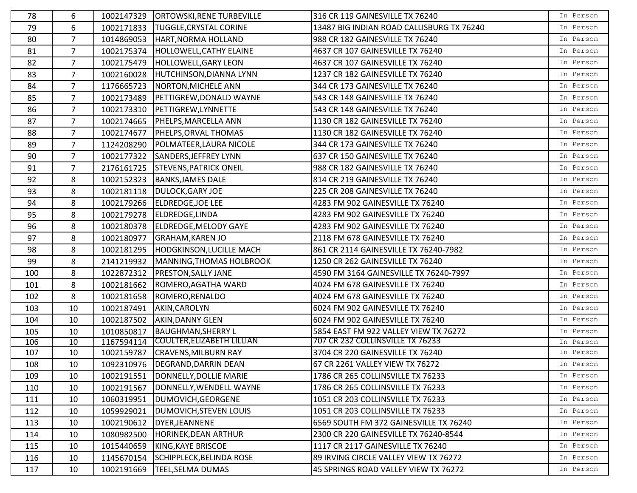| 78  | 6              | 1002147329 | <b>ORTOWSKI, RENE TURBEVILLE</b>   | 316 CR 119 GAINESVILLE TX 76240           | In Person |
|-----|----------------|------------|------------------------------------|-------------------------------------------|-----------|
| 79  | 6              | 1002171833 | <b>TUGGLE, CRYSTAL CORINE</b>      | 13487 BIG INDIAN ROAD CALLISBURG TX 76240 | In Person |
| 80  | $\overline{7}$ | 1014869053 | HART, NORMA HOLLAND                | 988 CR 182 GAINESVILLE TX 76240           | In Person |
| 81  | $\overline{7}$ | 1002175374 | HOLLOWELL, CATHY ELAINE            | 4637 CR 107 GAINESVILLE TX 76240          | In Person |
| 82  | $\overline{7}$ | 1002175479 | HOLLOWELL, GARY LEON               | 4637 CR 107 GAINESVILLE TX 76240          | In Person |
| 83  | 7              | 1002160028 | HUTCHINSON, DIANNA LYNN            | 1237 CR 182 GAINESVILLE TX 76240          | In Person |
| 84  | $\overline{7}$ | 1176665723 | NORTON, MICHELE ANN                | 344 CR 173 GAINESVILLE TX 76240           | In Person |
| 85  | $\overline{7}$ | 1002173489 | PETTIGREW, DONALD WAYNE            | 543 CR 148 GAINESVILLE TX 76240           | In Person |
| 86  | $\overline{7}$ | 1002173310 | PETTIGREW, LYNNETTE                | 543 CR 148 GAINESVILLE TX 76240           | In Person |
| 87  | $\overline{7}$ |            | 1002174665   PHELPS, MARCELLA ANN  | 1130 CR 182 GAINESVILLE TX 76240          | In Person |
| 88  | $\overline{7}$ | 1002174677 | <b>PHELPS, ORVAL THOMAS</b>        | 1130 CR 182 GAINESVILLE TX 76240          | In Person |
| 89  | 7              | 1124208290 | POLMATEER, LAURA NICOLE            | 344 CR 173 GAINESVILLE TX 76240           | In Person |
| 90  | 7              | 1002177322 | SANDERS, JEFFREY LYNN              | 637 CR 150 GAINESVILLE TX 76240           | In Person |
| 91  | $\overline{7}$ | 2176161725 | <b>STEVENS, PATRICK ONEIL</b>      | 988 CR 182 GAINESVILLE TX 76240           | In Person |
| 92  | 8              | 1002152323 | <b>BANKS, JAMES DALE</b>           | 814 CR 219 GAINESVILLE TX 76240           | In Person |
| 93  | 8              | 1002181118 | <b>DULOCK, GARY JOE</b>            | 225 CR 208 GAINESVILLE TX 76240           | In Person |
| 94  | 8              | 1002179266 | <b>ELDREDGE, JOE LEE</b>           | 4283 FM 902 GAINESVILLE TX 76240          | In Person |
| 95  | 8              | 1002179278 | ELDREDGE,LINDA                     | 4283 FM 902 GAINESVILLE TX 76240          | In Person |
| 96  | 8              | 1002180378 | <b>ELDREDGE, MELODY GAYE</b>       | 4283 FM 902 GAINESVILLE TX 76240          | In Person |
| 97  | 8              | 1002180977 | <b>GRAHAM, KAREN JO</b>            | 2118 FM 678 GAINESVILLE TX 76240          | In Person |
| 98  | 8              | 1002181295 | HODGKINSON, LUCILLE MACH           | 861 CR 2114 GAINESVILLE TX 76240-7982     | In Person |
| 99  | 8              | 2141219932 | MANNING, THOMAS HOLBROOK           | 1250 CR 262 GAINESVILLE TX 76240          | In Person |
| 100 | 8              | 1022872312 | <b>PRESTON, SALLY JANE</b>         | 4590 FM 3164 GAINESVILLE TX 76240-7997    | In Person |
| 101 | 8              | 1002181662 | ROMERO, AGATHA WARD                | 4024 FM 678 GAINESVILLE TX 76240          | In Person |
| 102 | 8              | 1002181658 | ROMERO, RENALDO                    | 4024 FM 678 GAINESVILLE TX 76240          | In Person |
| 103 | 10             | 1002187491 | AKIN, CAROLYN                      | 6024 FM 902 GAINESVILLE TX 76240          | In Person |
| 104 | 10             | 1002187502 | <b>AKIN, DANNY GLEN</b>            | 6024 FM 902 GAINESVILLE TX 76240          | In Person |
| 105 | 10             | 1010850817 | <b>BAUGHMAN, SHERRY L</b>          | 5854 EAST FM 922 VALLEY VIEW TX 76272     | In Person |
| 106 | 10             | 1167594114 | <b>COULTER, ELIZABETH LILLIAN</b>  | 707 CR 232 COLLINSVILLE TX 76233          | In Person |
| 107 | 10             | 1002159787 | <b>CRAVENS, MILBURN RAY</b>        | 3704 CR 220 GAINESVILLE TX 76240          | In Person |
| 108 | 10             | 1092310976 | DEGRAND, DARRIN DEAN               | 67 CR 2261 VALLEY VIEW TX 76272           | In Person |
| 109 | 10             |            | 1002191551  DONNELLY, DOLLIE MARIE | 1786 CR 265 COLLINSVILLE TX 76233         | In Person |
| 110 | 10             | 1002191567 | DONNELLY, WENDELL WAYNE            | 1786 CR 265 COLLINSVILLE TX 76233         | In Person |
| 111 | 10             | 1060319951 | DUMOVICH, GEORGENE                 | 1051 CR 203 COLLINSVILLE TX 76233         | In Person |
| 112 | 10             | 1059929021 | DUMOVICH, STEVEN LOUIS             | 1051 CR 203 COLLINSVILLE TX 76233         | In Person |
| 113 | 10             | 1002190612 | DYER, JEANNENE                     | 6569 SOUTH FM 372 GAINESVILLE TX 76240    | In Person |
| 114 | 10             | 1080982500 | HORINEK, DEAN ARTHUR               | 2300 CR 220 GAINESVILLE TX 76240-8544     | In Person |
| 115 | 10             | 1015440659 | KING, KAYE BRISCOE                 | 1117 CR 2117 GAINESVILLE TX 76240         | In Person |
| 116 | 10             | 1145670154 | <b>SCHIPPLECK, BELINDA ROSE</b>    | 89 IRVING CIRCLE VALLEY VIEW TX 76272     | In Person |
| 117 | 10             | 1002191669 | <b>TEEL, SELMA DUMAS</b>           | 45 SPRINGS ROAD VALLEY VIEW TX 76272      | In Person |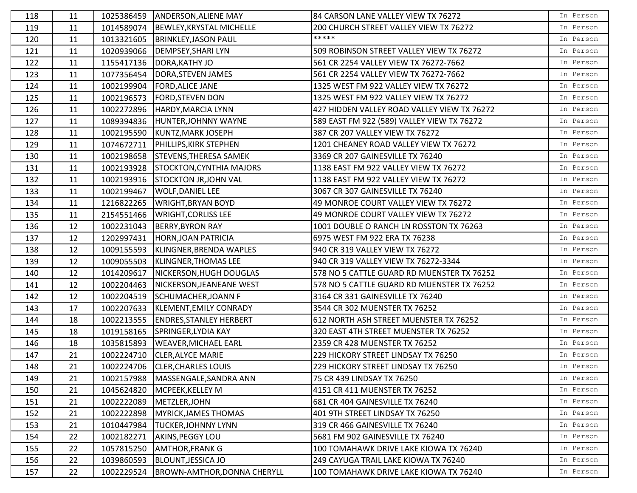| 118 | 11 | 1025386459 | <b>ANDERSON, ALIENE MAY</b>          | 84 CARSON LANE VALLEY VIEW TX 76272         | In Person |
|-----|----|------------|--------------------------------------|---------------------------------------------|-----------|
| 119 | 11 |            | 1014589074  BEWLEY, KRYSTAL MICHELLE | 200 CHURCH STREET VALLEY VIEW TX 76272      | In Person |
| 120 | 11 | 1013321605 | <b>BRINKLEY, JASON PAUL</b>          | *****                                       | In Person |
| 121 | 11 | 1020939066 | <b>DEMPSEY, SHARILYN</b>             | 509 ROBINSON STREET VALLEY VIEW TX 76272    | In Person |
| 122 | 11 |            | 1155417136   DORA, KATHY JO          | 561 CR 2254 VALLEY VIEW TX 76272-7662       | In Person |
| 123 | 11 |            | 1077356454   DORA, STEVEN JAMES      | 561 CR 2254 VALLEY VIEW TX 76272-7662       | In Person |
| 124 | 11 |            | 1002199904  FORD, ALICE JANE         | 1325 WEST FM 922 VALLEY VIEW TX 76272       | In Person |
| 125 | 11 | 1002196573 | <b>FORD, STEVEN DON</b>              | 1325 WEST FM 922 VALLEY VIEW TX 76272       | In Person |
| 126 | 11 | 1002272896 | HARDY, MARCIA LYNN                   | 427 HIDDEN VALLEY ROAD VALLEY VIEW TX 76272 | In Person |
| 127 | 11 |            | 1089394836 HUNTER, JOHNNY WAYNE      | 589 EAST FM 922 (589) VALLEY VIEW TX 76272  | In Person |
| 128 | 11 |            | 1002195590 KUNTZ, MARK JOSEPH        | 387 CR 207 VALLEY VIEW TX 76272             | In Person |
| 129 | 11 | 1074672711 | <b>PHILLIPS, KIRK STEPHEN</b>        | 1201 CHEANEY ROAD VALLEY VIEW TX 76272      | In Person |
| 130 | 11 | 1002198658 | <b>STEVENS, THERESA SAMEK</b>        | 3369 CR 207 GAINESVILLE TX 76240            | In Person |
| 131 | 11 | 1002193928 | STOCKTON, CYNTHIA MAJORS             | 1138 EAST FM 922 VALLEY VIEW TX 76272       | In Person |
| 132 | 11 | 1002193916 | <b>STOCKTON JR, JOHN VAL</b>         | 1138 EAST FM 922 VALLEY VIEW TX 76272       | In Person |
| 133 | 11 | 1002199467 | <b>WOLF, DANIEL LEE</b>              | 3067 CR 307 GAINESVILLE TX 76240            | In Person |
| 134 | 11 | 1216822265 | <b>WRIGHT, BRYAN BOYD</b>            | 49 MONROE COURT VALLEY VIEW TX 76272        | In Person |
| 135 | 11 | 2154551466 | <b>WRIGHT, CORLISS LEE</b>           | 49 MONROE COURT VALLEY VIEW TX 76272        | In Person |
| 136 | 12 | 1002231043 | <b>BERRY, BYRON RAY</b>              | 1001 DOUBLE O RANCH LN ROSSTON TX 76263     | In Person |
| 137 | 12 | 1202997431 | HORN, JOAN PATRICIA                  | 6975 WEST FM 922 ERA TX 76238               | In Person |
| 138 | 12 | 1009155593 | KLINGNER, BRENDA WAPLES              | 940 CR 319 VALLEY VIEW TX 76272             | In Person |
| 139 | 12 | 1009055503 | KLINGNER, THOMAS LEE                 | 940 CR 319 VALLEY VIEW TX 76272-3344        | In Person |
| 140 | 12 | 1014209617 | NICKERSON, HUGH DOUGLAS              | 578 NO 5 CATTLE GUARD RD MUENSTER TX 76252  | In Person |
| 141 | 12 | 1002204463 | NICKERSON, JEANEANE WEST             | 578 NO 5 CATTLE GUARD RD MUENSTER TX 76252  | In Person |
| 142 | 12 | 1002204519 | SCHUMACHER, JOANN F                  | 3164 CR 331 GAINESVILLE TX 76240            | In Person |
| 143 | 17 | 1002207633 | KLEMENT, EMILY CONRADY               | 3544 CR 302 MUENSTER TX 76252               | In Person |
| 144 | 18 | 1002213555 | <b>ENDRES, STANLEY HERBERT</b>       | 612 NORTH ASH STREET MUENSTER TX 76252      | In Person |
| 145 | 18 | 1019158165 | SPRINGER, LYDIA KAY                  | 320 EAST 4TH STREET MUENSTER TX 76252       | In Person |
| 146 | 18 | 1035815893 | <b>WEAVER, MICHAEL EARL</b>          | 2359 CR 428 MUENSTER TX 76252               | In Person |
| 147 | 21 | 1002224710 | <b>CLER, ALYCE MARIE</b>             | 229 HICKORY STREET LINDSAY TX 76250         | In Person |
| 148 | 21 |            | 1002224706 CLER, CHARLES LOUIS       | 229 HICKORY STREET LINDSAY TX 76250         | In Person |
| 149 | 21 | 1002157988 | MASSENGALE, SANDRA ANN               | 75 CR 439 LINDSAY TX 76250                  | In Person |
| 150 | 21 | 1045624820 | MCPEEK, KELLEY M                     | 4151 CR 411 MUENSTER TX 76252               | In Person |
| 151 | 21 | 1002222089 | METZLER, JOHN                        | 681 CR 404 GAINESVILLE TX 76240             | In Person |
| 152 | 21 | 1002222898 | MYRICK, JAMES THOMAS                 | 401 9TH STREET LINDSAY TX 76250             | In Person |
| 153 | 21 | 1010447984 | <b>TUCKER, JOHNNY LYNN</b>           | 319 CR 466 GAINESVILLE TX 76240             | In Person |
| 154 | 22 | 1002182271 | <b>AKINS, PEGGY LOU</b>              | 5681 FM 902 GAINESVILLE TX 76240            | In Person |
| 155 | 22 | 1057815250 | <b>AMTHOR, FRANK G</b>               | 100 TOMAHAWK DRIVE LAKE KIOWA TX 76240      | In Person |
| 156 | 22 | 1039860593 | BLOUNT, JESSICA JO                   | 249 CAYUGA TRAIL LAKE KIOWA TX 76240        | In Person |
| 157 | 22 | 1002229524 | <b>BROWN-AMTHOR, DONNA CHERYLL</b>   | 100 TOMAHAWK DRIVE LAKE KIOWA TX 76240      | In Person |